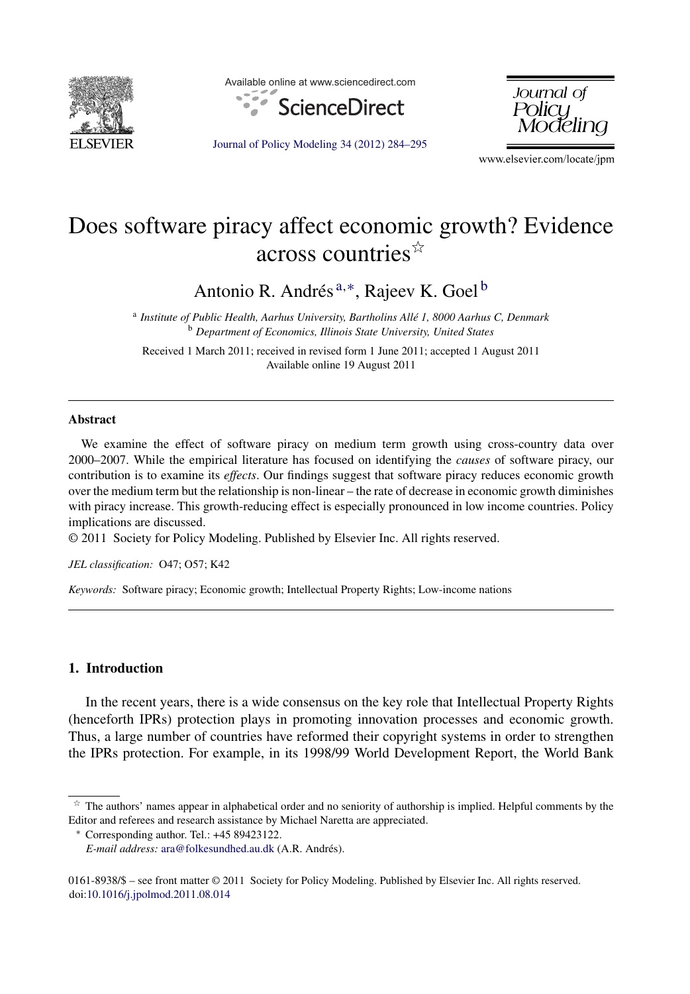

Available online at www.sciencedirect.com



Journal of **Policu** 

Journal of Policy [Modeling](dx.doi.org/10.1016/j.jpolmod.2011.08.014) 34 (2012) 284–295

www.elsevier.com/locate/jpm

## Does software piracy affect economic growth? Evidence across countries $\vec{r}$

Antonio R. Andrés<sup>a,∗</sup>, Rajeev K. Goel<sup>b</sup>

<sup>a</sup> *Institute of Public Health, Aarhus University, Bartholins Allé 1, 8000 Aarhus C, Denmark* <sup>b</sup> *Department of Economics, Illinois State University, United States*

Received 1 March 2011; received in revised form 1 June 2011; accepted 1 August 2011 Available online 19 August 2011

## **Abstract**

We examine the effect of software piracy on medium term growth using cross-country data over 2000–2007. While the empirical literature has focused on identifying the *causes* of software piracy, our contribution is to examine its *effects*. Our findings suggest that software piracy reduces economic growth over the medium term but the relationship is non-linear – the rate of decrease in economic growth diminishes with piracy increase. This growth-reducing effect is especially pronounced in low income countries. Policy implications are discussed.

© 2011 Society for Policy Modeling. Published by Elsevier Inc. All rights reserved.

*JEL classification:* O47; O57; K42

*Keywords:* Software piracy; Economic growth; Intellectual Property Rights; Low-income nations

## **1. Introduction**

In the recent years, there is a wide consensus on the key role that Intellectual Property Rights (henceforth IPRs) protection plays in promoting innovation processes and economic growth. Thus, a large number of countries have reformed their copyright systems in order to strengthen the IPRs protection. For example, in its 1998/99 World Development Report, the World Bank

 $\dot{\tau}$  The authors' names appear in alphabetical order and no seniority of authorship is implied. Helpful comments by the Editor and referees and research assistance by Michael Naretta are appreciated.

<sup>∗</sup> Corresponding author. Tel.: +45 89423122.

*E-mail address:* [ara@folkesundhed.au.dk](mailto:ara@folkesundhed.au.dk) (A.R. Andrés).

<sup>0161-8938/\$</sup> – see front matter © 2011 Society for Policy Modeling. Published by Elsevier Inc. All rights reserved. doi[:10.1016/j.jpolmod.2011.08.014](dx.doi.org/10.1016/j.jpolmod.2011.08.014)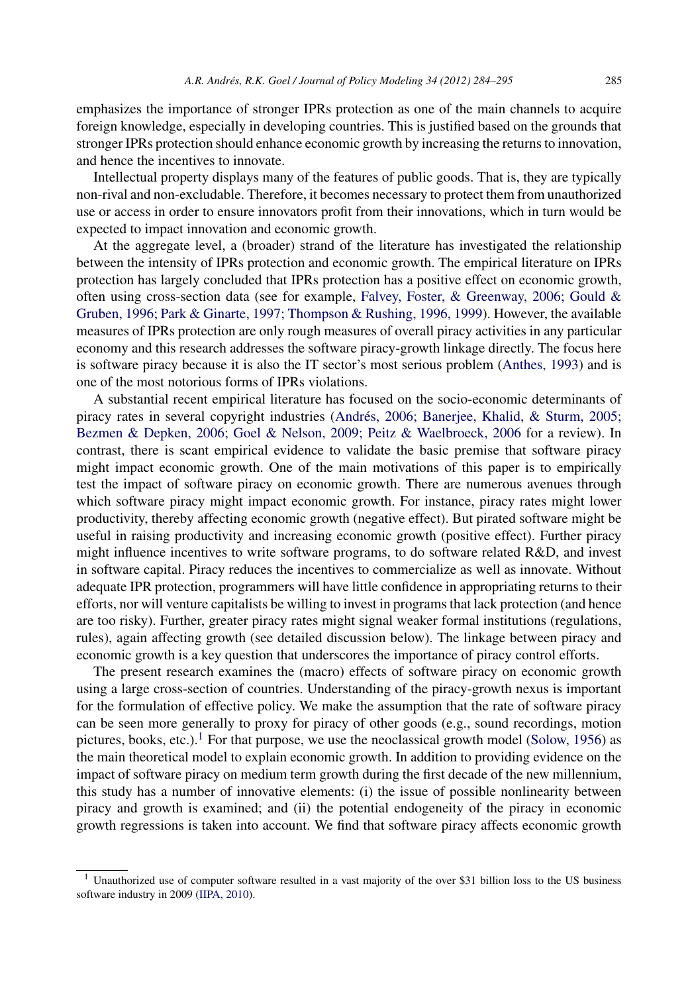emphasizes the importance of stronger IPRs protection as one of the main channels to acquire foreign knowledge, especially in developing countries. This is justified based on the grounds that stronger IPRs protection should enhance economic growth by increasing the returnsto innovation, and hence the incentives to innovate.

Intellectual property displays many of the features of public goods. That is, they are typically non-rival and non-excludable. Therefore, it becomes necessary to protect them from unauthorized use or access in order to ensure innovators profit from their innovations, which in turn would be expected to impact innovation and economic growth.

At the aggregate level, a (broader) strand of the literature has investigated the relationship between the intensity of IPRs protection and economic growth. The empirical literature on IPRs protection has largely concluded that IPRs protection has a positive effect on economic growth, often using cross-section data (see for example, [Falvey,](#page--1-0) [Foster,](#page--1-0) [&](#page--1-0) [Greenway,](#page--1-0) [2006;](#page--1-0) [Gould](#page--1-0) [&](#page--1-0) [Gruben,](#page--1-0) [1996;](#page--1-0) [Park](#page--1-0) [&](#page--1-0) [Ginarte,](#page--1-0) [1997;](#page--1-0) [Thompson](#page--1-0) [&](#page--1-0) [Rushing,](#page--1-0) [1996,](#page--1-0) [1999\).](#page--1-0) However, the available measures of IPRs protection are only rough measures of overall piracy activities in any particular economy and this research addresses the software piracy-growth linkage directly. The focus here is software piracy because it is also the IT sector's most serious problem [\(Anthes,](#page--1-0) [1993\)](#page--1-0) and is one of the most notorious forms of IPRs violations.

A substantial recent empirical literature has focused on the socio-economic determinants of piracy rates in several copyright industries ([Andrés,](#page--1-0) [2006;](#page--1-0) [Banerjee,](#page--1-0) [Khalid,](#page--1-0) [&](#page--1-0) [Sturm,](#page--1-0) [2005;](#page--1-0) [Bezmen](#page--1-0) [&](#page--1-0) [Depken,](#page--1-0) [2006;](#page--1-0) [Goel](#page--1-0) [&](#page--1-0) [Nelson,](#page--1-0) [2009;](#page--1-0) [Peitz](#page--1-0) [&](#page--1-0) [Waelbroeck,](#page--1-0) [2006](#page--1-0) for a review). In contrast, there is scant empirical evidence to validate the basic premise that software piracy might impact economic growth. One of the main motivations of this paper is to empirically test the impact of software piracy on economic growth. There are numerous avenues through which software piracy might impact economic growth. For instance, piracy rates might lower productivity, thereby affecting economic growth (negative effect). But pirated software might be useful in raising productivity and increasing economic growth (positive effect). Further piracy might influence incentives to write software programs, to do software related R&D, and invest in software capital. Piracy reduces the incentives to commercialize as well as innovate. Without adequate IPR protection, programmers will have little confidence in appropriating returns to their efforts, nor will venture capitalists be willing to invest in programs that lack protection (and hence are too risky). Further, greater piracy rates might signal weaker formal institutions (regulations, rules), again affecting growth (see detailed discussion below). The linkage between piracy and economic growth is a key question that underscores the importance of piracy control efforts.

The present research examines the (macro) effects of software piracy on economic growth using a large cross-section of countries. Understanding of the piracy-growth nexus is important for the formulation of effective policy. We make the assumption that the rate of software piracy can be seen more generally to proxy for piracy of other goods (e.g., sound recordings, motion pictures, books, etc.).<sup>1</sup> For that purpose, we use the neoclassical growth model [\(Solow,](#page--1-0) [1956\)](#page--1-0) as the main theoretical model to explain economic growth. In addition to providing evidence on the impact of software piracy on medium term growth during the first decade of the new millennium, this study has a number of innovative elements: (i) the issue of possible nonlinearity between piracy and growth is examined; and (ii) the potential endogeneity of the piracy in economic growth regressions is taken into account. We find that software piracy affects economic growth

<sup>&</sup>lt;sup>1</sup> Unauthorized use of computer software resulted in a vast majority of the over \$31 billion loss to the US business software industry in 2009 [\(IIPA,](#page--1-0) [2010\).](#page--1-0)